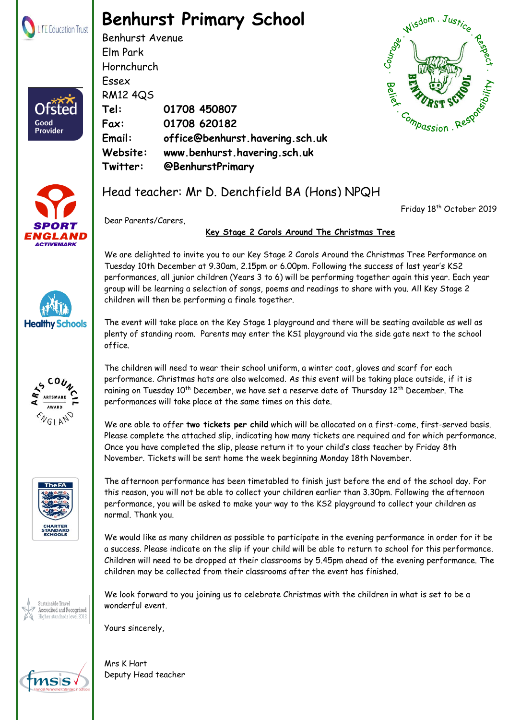

## **Benhurst Primary School**

Benhurst Avenue Elm Park Hornchurch Essex RM12 4QS **Tel: 01708 450807 Fax: 01708 620182 Email: office@benhurst.havering.sch.uk Website: www.benhurst.havering.sch.uk Twitter: @BenhurstPrimary**





**Healthy Schools** 

**ENGLAND** 

Sustainable Travel Accredited and Recognised er standards level 2012

Good Provider

## Head teacher: Mr D. Denchfield BA (Hons) NPQH

Friday 18<sup>th</sup> October 2019

Dear Parents/Carers,

## **Key Stage 2 Carols Around The Christmas Tree**

We are delighted to invite you to our Key Stage 2 Carols Around the Christmas Tree Performance on Tuesday 10th December at 9.30am, 2.15pm or 6.00pm. Following the success of last year's KS2 performances, all junior children (Years 3 to 6) will be performing together again this year. Each year group will be learning a selection of songs, poems and readings to share with you. All Key Stage 2 children will then be performing a finale together.

The event will take place on the Key Stage 1 playground and there will be seating available as well as plenty of standing room. Parents may enter the KS1 playground via the side gate next to the school office.

The children will need to wear their school uniform, a winter coat, gloves and scarf for each performance. Christmas hats are also welcomed. As this event will be taking place outside, if it is raining on Tuesday 10<sup>th</sup> December, we have set a reserve date of Thursday 12<sup>th</sup> December. The performances will take place at the same times on this date.

We are able to offer **two tickets per child** which will be allocated on a first-come, first-served basis. Please complete the attached slip, indicating how many tickets are required and for which performance. Once you have completed the slip, please return it to your child's class teacher by Friday 8th November. Tickets will be sent home the week beginning Monday 18th November.

The afternoon performance has been timetabled to finish just before the end of the school day. For this reason, you will not be able to collect your children earlier than 3.30pm. Following the afternoon performance, you will be asked to make your way to the KS2 playground to collect your children as normal. Thank you.

We would like as many children as possible to participate in the evening performance in order for it be a success. Please indicate on the slip if your child will be able to return to school for this performance. Children will need to be dropped at their classrooms by 5.45pm ahead of the evening performance. The children may be collected from their classrooms after the event has finished.

We look forward to you joining us to celebrate Christmas with the children in what is set to be a wonderful event.

Registered Address: The Frances Bardsley Academy for Girls, Brentwood Road, Romford. Essex. RM1 2RR

Yours sincerely,

**Bendhurst Primary School part of LIFE Education Trust. Registered in England & Wales. Company Numbers: 08268288** Mrs K Hart